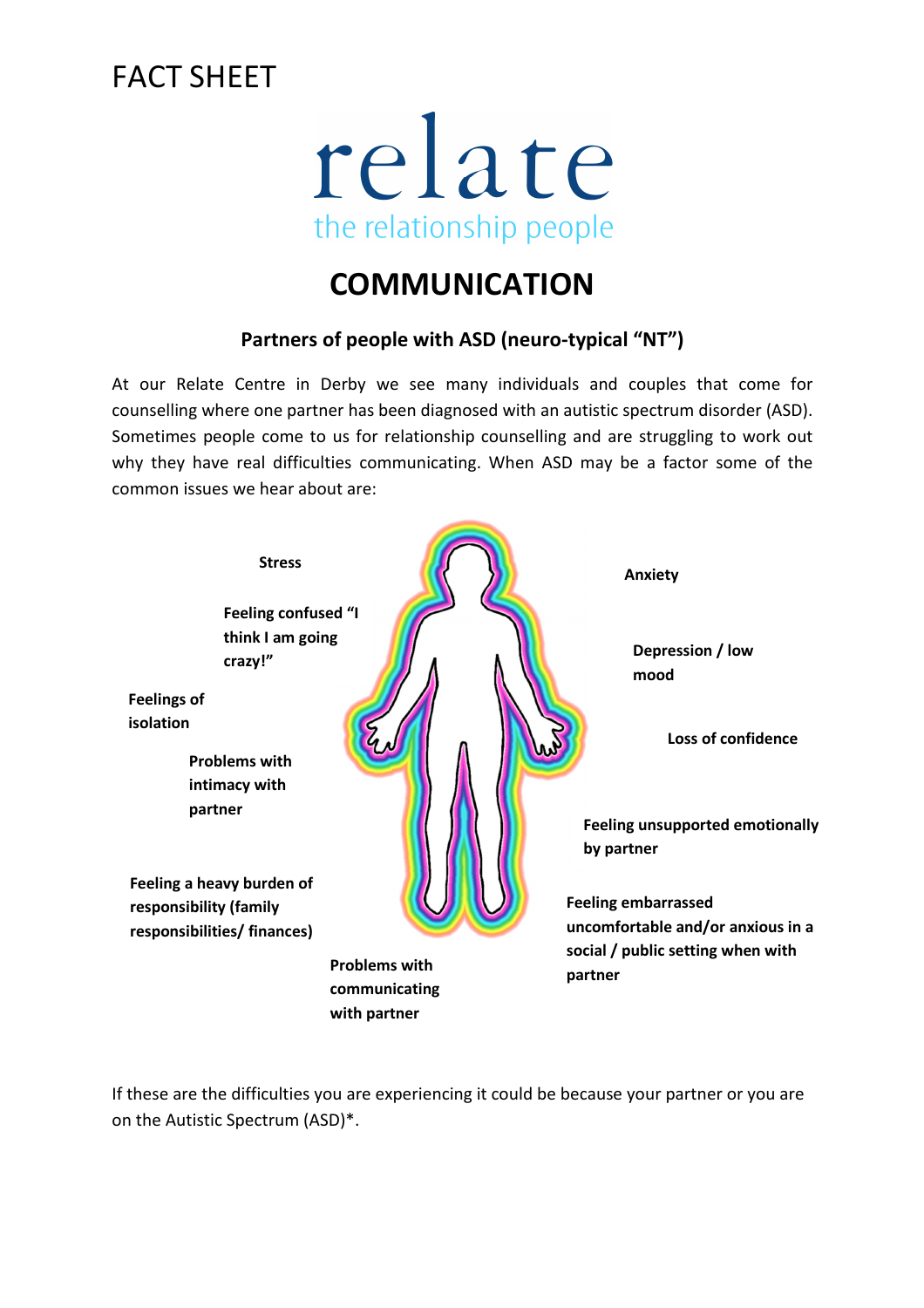# FACT SHFFT

# relate the relationship people

### **COMMUNICATION**

#### **Partners of people with ASD (neuro-typical "NT")**

At our Relate Centre in Derby we see many individuals and couples that come for counselling where one partner has been diagnosed with an autistic spectrum disorder (ASD). Sometimes people come to us for relationship counselling and are struggling to work out why they have real difficulties communicating. When ASD may be a factor some of the common issues we hear about are:



If these are the difficulties you are experiencing it could be because your partner or you are on the Autistic Spectrum (ASD)\*.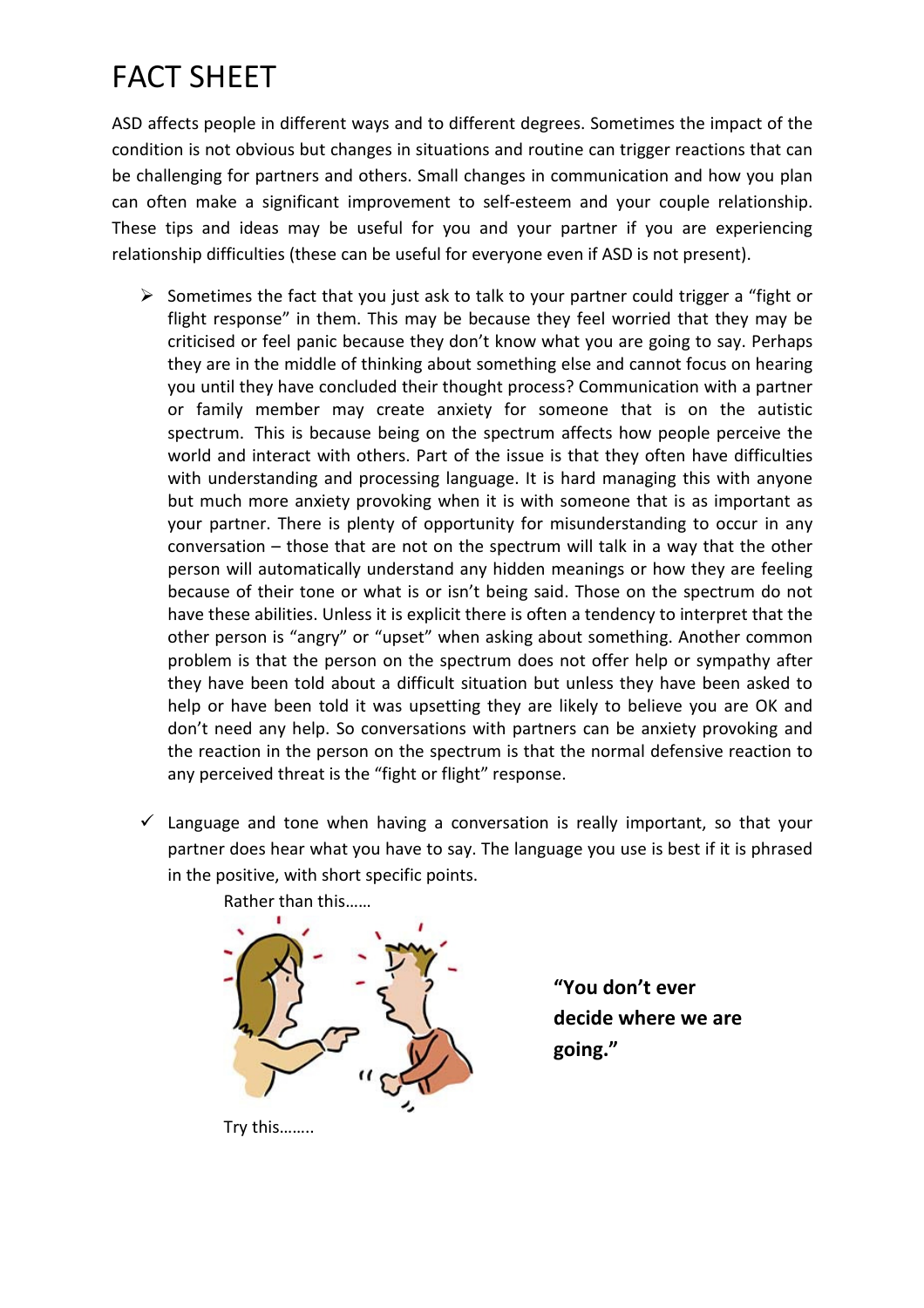# FACT SHEET

ASD affects people in different ways and to different degrees. Sometimes the impact of the condition is not obvious but changes in situations and routine can trigger reactions that can be challenging for partners and others. Small changes in communication and how you plan can often make a significant improvement to self-esteem and your couple relationship. These tips and ideas may be useful for you and your partner if you are experiencing relationship difficulties (these can be useful for everyone even if ASD is not present).

- $\triangleright$  Sometimes the fact that you just ask to talk to your partner could trigger a "fight or flight response" in them. This may be because they feel worried that they may be criticised or feel panic because they don't know what you are going to say. Perhaps they are in the middle of thinking about something else and cannot focus on hearing you until they have concluded their thought process? Communication with a partner or family member may create anxiety for someone that is on the autistic spectrum. This is because being on the spectrum affects how people perceive the world and interact with others. Part of the issue is that they often have difficulties with understanding and processing language. It is hard managing this with anyone but much more anxiety provoking when it is with someone that is as important as your partner. There is plenty of opportunity for misunderstanding to occur in any conversation – those that are not on the spectrum will talk in a way that the other person will automatically understand any hidden meanings or how they are feeling because of their tone or what is or isn't being said. Those on the spectrum do not have these abilities. Unless it is explicit there is often a tendency to interpret that the other person is "angry" or "upset" when asking about something. Another common problem is that the person on the spectrum does not offer help or sympathy after they have been told about a difficult situation but unless they have been asked to help or have been told it was upsetting they are likely to believe you are OK and don't need any help. So conversations with partners can be anxiety provoking and the reaction in the person on the spectrum is that the normal defensive reaction to any perceived threat is the "fight or flight" response.
- $\checkmark$  Language and tone when having a conversation is really important, so that your partner does hear what you have to say. The language you use is best if it is phrased in the positive, with short specific points.



**"You don't ever decide where we are going."** 

Try this……..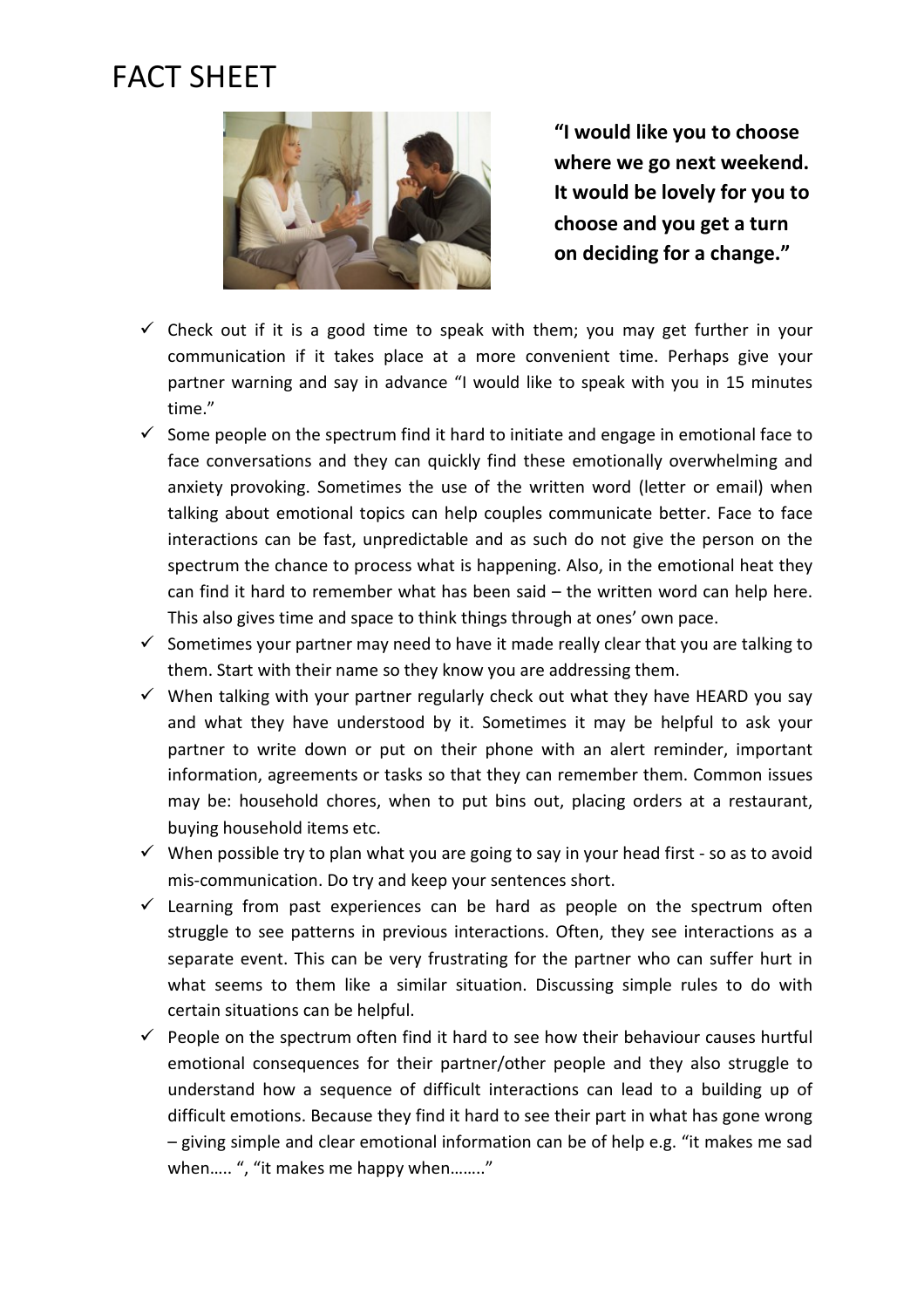## FACT SHEET



**"I would like you to choose where we go next weekend. It would be lovely for you to choose and you get a turn on deciding for a change."** 

- $\checkmark$  Check out if it is a good time to speak with them; you may get further in your communication if it takes place at a more convenient time. Perhaps give your partner warning and say in advance "I would like to speak with you in 15 minutes time."
- $\checkmark$  Some people on the spectrum find it hard to initiate and engage in emotional face to face conversations and they can quickly find these emotionally overwhelming and anxiety provoking. Sometimes the use of the written word (letter or email) when talking about emotional topics can help couples communicate better. Face to face interactions can be fast, unpredictable and as such do not give the person on the spectrum the chance to process what is happening. Also, in the emotional heat they can find it hard to remember what has been said – the written word can help here. This also gives time and space to think things through at ones' own pace.
- $\checkmark$  Sometimes your partner may need to have it made really clear that you are talking to them. Start with their name so they know you are addressing them.
- $\checkmark$  When talking with your partner regularly check out what they have HEARD you say and what they have understood by it. Sometimes it may be helpful to ask your partner to write down or put on their phone with an alert reminder, important information, agreements or tasks so that they can remember them. Common issues may be: household chores, when to put bins out, placing orders at a restaurant, buying household items etc.
- $\checkmark$  When possible try to plan what you are going to say in your head first so as to avoid mis-communication. Do try and keep your sentences short.
- $\checkmark$  Learning from past experiences can be hard as people on the spectrum often struggle to see patterns in previous interactions. Often, they see interactions as a separate event. This can be very frustrating for the partner who can suffer hurt in what seems to them like a similar situation. Discussing simple rules to do with certain situations can be helpful.
- $\checkmark$  People on the spectrum often find it hard to see how their behaviour causes hurtful emotional consequences for their partner/other people and they also struggle to understand how a sequence of difficult interactions can lead to a building up of difficult emotions. Because they find it hard to see their part in what has gone wrong – giving simple and clear emotional information can be of help e.g. "it makes me sad when..... ", "it makes me happy when........"